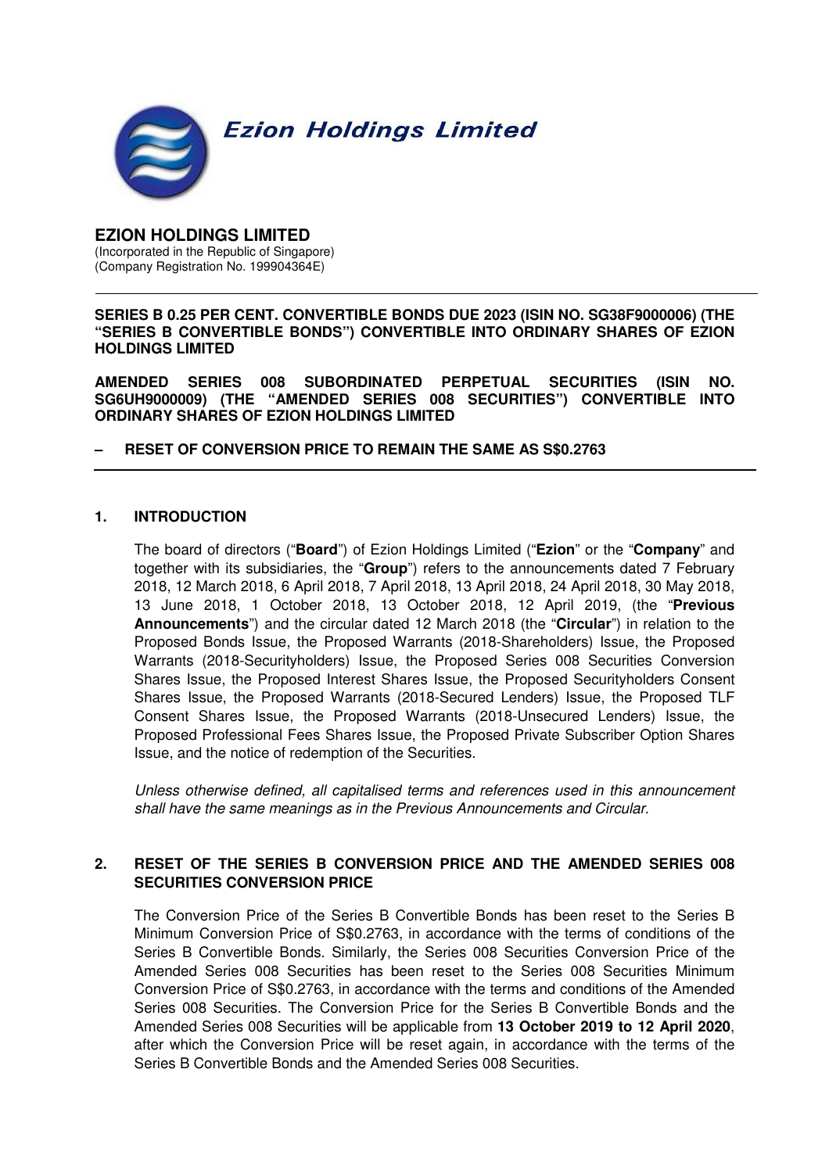

#### **EZION HOLDINGS LIMITED**  (Incorporated in the Republic of Singapore) (Company Registration No. 199904364E)

#### **SERIES B 0.25 PER CENT. CONVERTIBLE BONDS DUE 2023 (ISIN NO. SG38F9000006) (THE "SERIES B CONVERTIBLE BONDS") CONVERTIBLE INTO ORDINARY SHARES OF EZION HOLDINGS LIMITED**

**AMENDED SERIES 008 SUBORDINATED PERPETUAL SECURITIES (ISIN NO. SG6UH9000009) (THE "AMENDED SERIES 008 SECURITIES") CONVERTIBLE INTO ORDINARY SHARES OF EZION HOLDINGS LIMITED** 

### **– RESET OF CONVERSION PRICE TO REMAIN THE SAME AS S\$0.2763**

### **1. INTRODUCTION**

The board of directors ("**Board**") of Ezion Holdings Limited ("**Ezion**" or the "**Company**" and together with its subsidiaries, the "**Group**") refers to the announcements dated 7 February 2018, 12 March 2018, 6 April 2018, 7 April 2018, 13 April 2018, 24 April 2018, 30 May 2018, 13 June 2018, 1 October 2018, 13 October 2018, 12 April 2019, (the "**Previous Announcements**") and the circular dated 12 March 2018 (the "**Circular**") in relation to the Proposed Bonds Issue, the Proposed Warrants (2018-Shareholders) Issue, the Proposed Warrants (2018-Securityholders) Issue, the Proposed Series 008 Securities Conversion Shares Issue, the Proposed Interest Shares Issue, the Proposed Securityholders Consent Shares Issue, the Proposed Warrants (2018-Secured Lenders) Issue, the Proposed TLF Consent Shares Issue, the Proposed Warrants (2018-Unsecured Lenders) Issue, the Proposed Professional Fees Shares Issue, the Proposed Private Subscriber Option Shares Issue, and the notice of redemption of the Securities.

Unless otherwise defined, all capitalised terms and references used in this announcement shall have the same meanings as in the Previous Announcements and Circular.

## **2. RESET OF THE SERIES B CONVERSION PRICE AND THE AMENDED SERIES 008 SECURITIES CONVERSION PRICE**

The Conversion Price of the Series B Convertible Bonds has been reset to the Series B Minimum Conversion Price of S\$0.2763, in accordance with the terms of conditions of the Series B Convertible Bonds. Similarly, the Series 008 Securities Conversion Price of the Amended Series 008 Securities has been reset to the Series 008 Securities Minimum Conversion Price of S\$0.2763, in accordance with the terms and conditions of the Amended Series 008 Securities. The Conversion Price for the Series B Convertible Bonds and the Amended Series 008 Securities will be applicable from **13 October 2019 to 12 April 2020**, after which the Conversion Price will be reset again, in accordance with the terms of the Series B Convertible Bonds and the Amended Series 008 Securities.